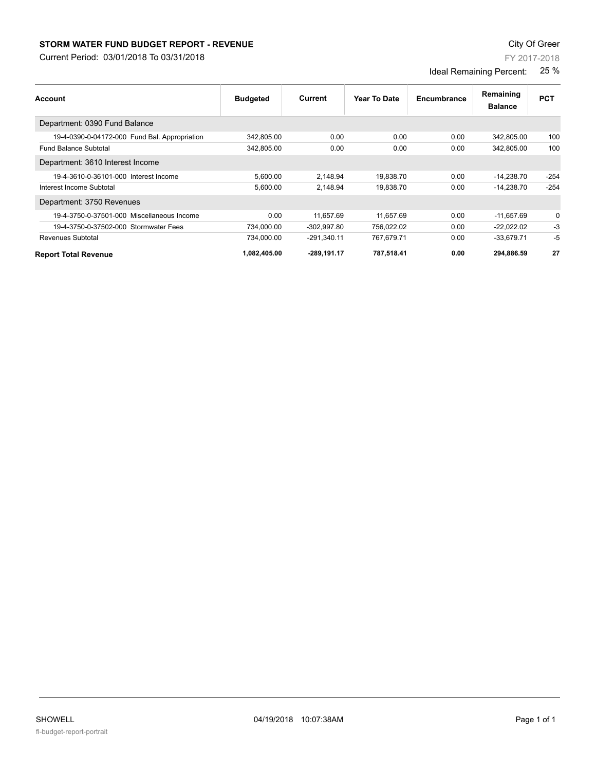## **STORM WATER FUND BUDGET REPORT - REVENUE CONTEXT AND REPORT ASSESSMENT OF A STORM WATER FUND BUDGET REPORT - REVENUE**

Current Period: 03/01/2018 To 03/31/2018

| Account                                       | <b>Budgeted</b> | Current       | Year To Date | Encumbrance | Remaining      | <b>PCT</b> |
|-----------------------------------------------|-----------------|---------------|--------------|-------------|----------------|------------|
|                                               |                 |               |              |             | <b>Balance</b> |            |
| Department: 0390 Fund Balance                 |                 |               |              |             |                |            |
| 19-4-0390-0-04172-000 Fund Bal. Appropriation | 342,805.00      | 0.00          | 0.00         | 0.00        | 342,805.00     | 100        |
| <b>Fund Balance Subtotal</b>                  | 342,805.00      | 0.00          | 0.00         | 0.00        | 342.805.00     | 100        |
| Department: 3610 Interest Income              |                 |               |              |             |                |            |
| 19-4-3610-0-36101-000 Interest Income         | 5,600.00        | 2.148.94      | 19.838.70    | 0.00        | $-14.238.70$   | $-254$     |
| Interest Income Subtotal                      | 5.600.00        | 2.148.94      | 19.838.70    | 0.00        | $-14.238.70$   | $-254$     |
| Department: 3750 Revenues                     |                 |               |              |             |                |            |
| 19-4-3750-0-37501-000 Miscellaneous Income    | 0.00            | 11,657.69     | 11,657.69    | 0.00        | $-11,657.69$   | 0          |
| 19-4-3750-0-37502-000 Stormwater Fees         | 734,000.00      | $-302,997.80$ | 756,022.02   | 0.00        | $-22,022.02$   | -3         |
| Revenues Subtotal                             | 734,000.00      | $-291.340.11$ | 767,679.71   | 0.00        | $-33,679.71$   | -5         |
| <b>Report Total Revenue</b>                   | 1,082,405.00    | -289,191.17   | 787,518.41   | 0.00        | 294,886.59     | 27         |

FY 2017-2018

Ideal Remaining Percent: 25 %